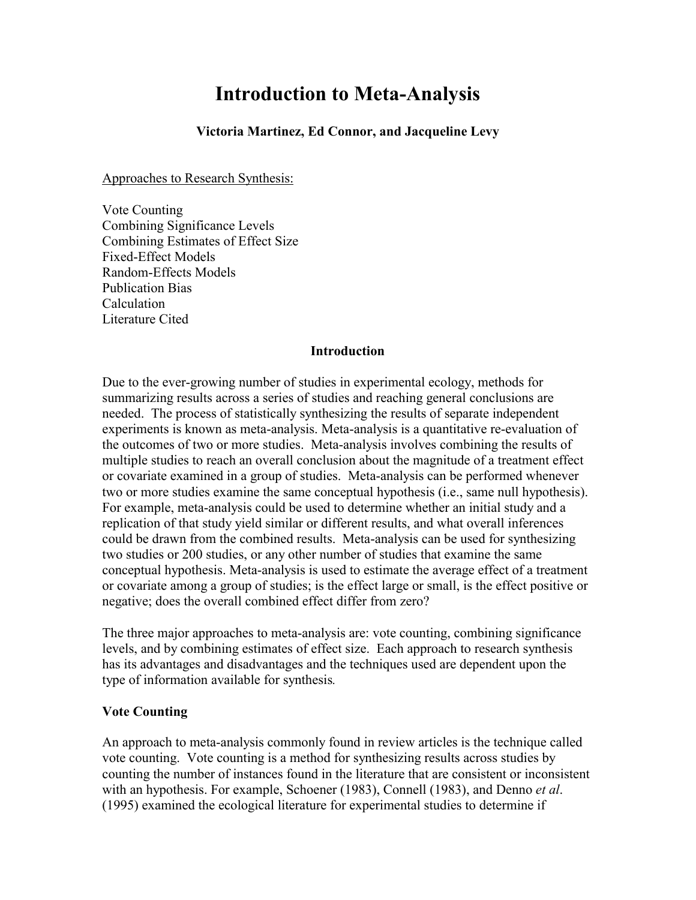# **Introduction to Meta-Analysis**

**Victoria Martinez, Ed Connor, and Jacqueline Levy** 

Approaches to Research Synthesis:

Vote Counting Combining Significance Levels Combining Estimates of Effect Size Fixed-Effect Models Random-Effects Models Publication Bias Calculation Literature Cited

### **Introduction**

Due to the ever-growing number of studies in experimental ecology, methods for summarizing results across a series of studies and reaching general conclusions are needed. The process of statistically synthesizing the results of separate independent experiments is known as meta-analysis. Meta-analysis is a quantitative re-evaluation of the outcomes of two or more studies. Meta-analysis involves combining the results of multiple studies to reach an overall conclusion about the magnitude of a treatment effect or covariate examined in a group of studies. Meta-analysis can be performed whenever two or more studies examine the same conceptual hypothesis (i.e., same null hypothesis). For example, meta-analysis could be used to determine whether an initial study and a replication of that study yield similar or different results, and what overall inferences could be drawn from the combined results. Meta-analysis can be used for synthesizing two studies or 200 studies, or any other number of studies that examine the same conceptual hypothesis. Meta-analysis is used to estimate the average effect of a treatment or covariate among a group of studies; is the effect large or small, is the effect positive or negative; does the overall combined effect differ from zero?

The three major approaches to meta-analysis are: vote counting, combining significance levels, and by combining estimates of effect size. Each approach to research synthesis has its advantages and disadvantages and the techniques used are dependent upon the type of information available for synthesis*.*

## **Vote Counting**

An approach to meta-analysis commonly found in review articles is the technique called vote counting. Vote counting is a method for synthesizing results across studies by counting the number of instances found in the literature that are consistent or inconsistent with an hypothesis. For example, Schoener (1983), Connell (1983), and Denno *et al*. (1995) examined the ecological literature for experimental studies to determine if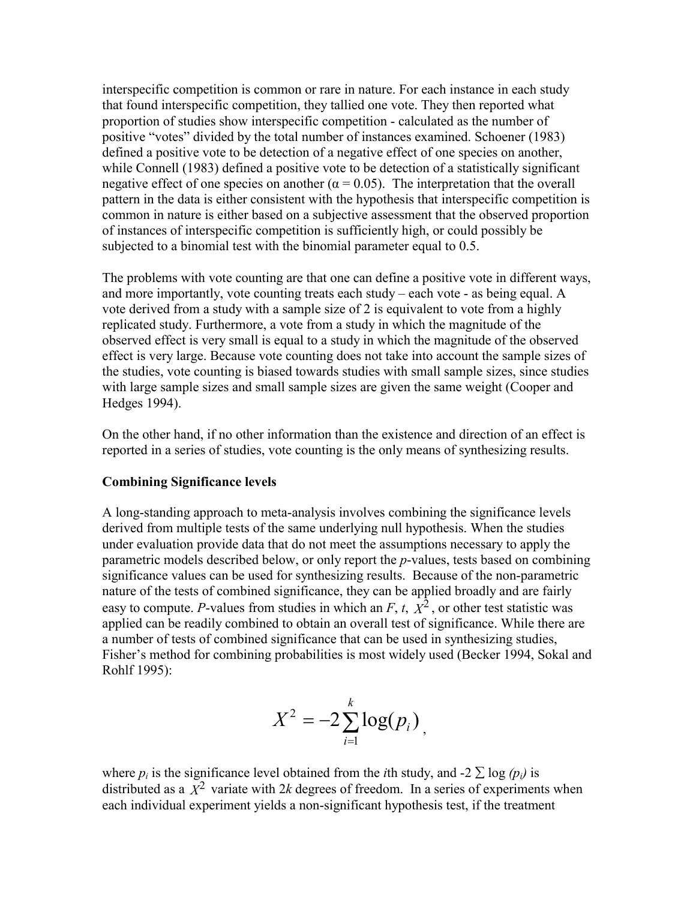interspecific competition is common or rare in nature. For each instance in each study that found interspecific competition, they tallied one vote. They then reported what proportion of studies show interspecific competition - calculated as the number of positive "votes" divided by the total number of instances examined. Schoener (1983) defined a positive vote to be detection of a negative effect of one species on another, while Connell (1983) defined a positive vote to be detection of a statistically significant negative effect of one species on another ( $\alpha = 0.05$ ). The interpretation that the overall pattern in the data is either consistent with the hypothesis that interspecific competition is common in nature is either based on a subjective assessment that the observed proportion of instances of interspecific competition is sufficiently high, or could possibly be subjected to a binomial test with the binomial parameter equal to 0.5.

The problems with vote counting are that one can define a positive vote in different ways, and more importantly, vote counting treats each study – each vote - as being equal. A vote derived from a study with a sample size of 2 is equivalent to vote from a highly replicated study. Furthermore, a vote from a study in which the magnitude of the observed effect is very small is equal to a study in which the magnitude of the observed effect is very large. Because vote counting does not take into account the sample sizes of the studies, vote counting is biased towards studies with small sample sizes, since studies with large sample sizes and small sample sizes are given the same weight (Cooper and Hedges 1994).

On the other hand, if no other information than the existence and direction of an effect is reported in a series of studies, vote counting is the only means of synthesizing results.

### **Combining Significance levels**

A long-standing approach to meta-analysis involves combining the significance levels derived from multiple tests of the same underlying null hypothesis. When the studies under evaluation provide data that do not meet the assumptions necessary to apply the parametric models described below, or only report the *p*-values, tests based on combining significance values can be used for synthesizing results. Because of the non-parametric nature of the tests of combined significance, they can be applied broadly and are fairly easy to compute. *P*-values from studies in which an  $F$ ,  $t$ ,  $\overline{X}^2$ , or other test statistic was applied can be readily combined to obtain an overall test of significance. While there are a number of tests of combined significance that can be used in synthesizing studies, Fisher's method for combining probabilities is most widely used (Becker 1994, Sokal and Rohlf 1995):

$$
X^2 = -2\sum_{i=1}^k \log(p_i)
$$

where  $p_i$  is the significance level obtained from the *i*th study, and -2  $\sum \log (p_i)$  is distributed as a  $\overline{X}^2$  variate with 2*k* degrees of freedom. In a series of experiments when each individual experiment yields a non-significant hypothesis test, if the treatment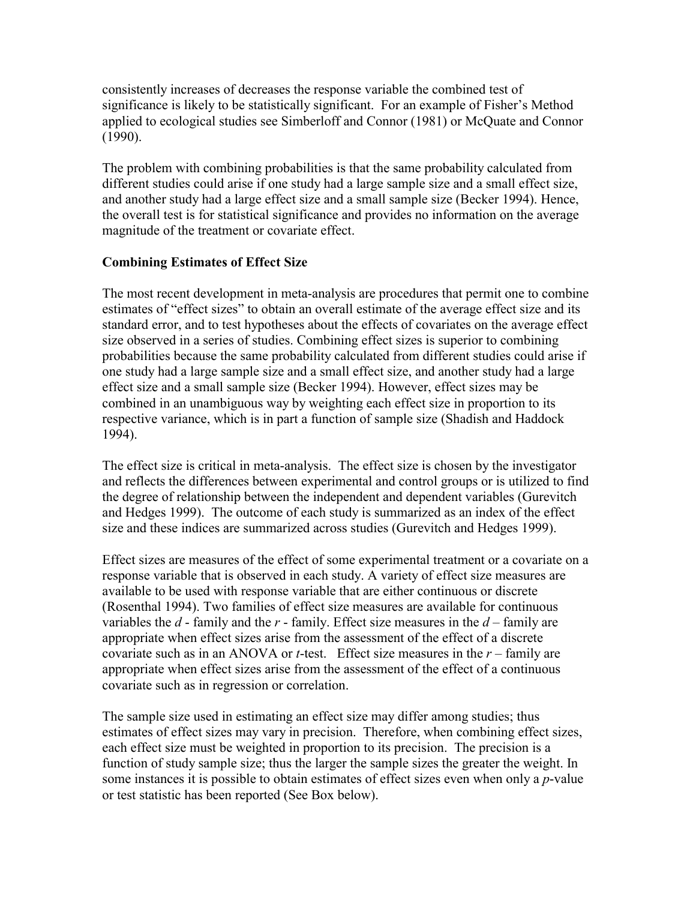consistently increases of decreases the response variable the combined test of significance is likely to be statistically significant. For an example of Fisher's Method applied to ecological studies see Simberloff and Connor (1981) or McQuate and Connor (1990).

The problem with combining probabilities is that the same probability calculated from different studies could arise if one study had a large sample size and a small effect size, and another study had a large effect size and a small sample size (Becker 1994). Hence, the overall test is for statistical significance and provides no information on the average magnitude of the treatment or covariate effect.

# **Combining Estimates of Effect Size**

The most recent development in meta-analysis are procedures that permit one to combine estimates of "effect sizes" to obtain an overall estimate of the average effect size and its standard error, and to test hypotheses about the effects of covariates on the average effect size observed in a series of studies. Combining effect sizes is superior to combining probabilities because the same probability calculated from different studies could arise if one study had a large sample size and a small effect size, and another study had a large effect size and a small sample size (Becker 1994). However, effect sizes may be combined in an unambiguous way by weighting each effect size in proportion to its respective variance, which is in part a function of sample size (Shadish and Haddock 1994).

The effect size is critical in meta-analysis. The effect size is chosen by the investigator and reflects the differences between experimental and control groups or is utilized to find the degree of relationship between the independent and dependent variables (Gurevitch and Hedges 1999). The outcome of each study is summarized as an index of the effect size and these indices are summarized across studies (Gurevitch and Hedges 1999).

Effect sizes are measures of the effect of some experimental treatment or a covariate on a response variable that is observed in each study. A variety of effect size measures are available to be used with response variable that are either continuous or discrete (Rosenthal 1994). Two families of effect size measures are available for continuous variables the *d* - family and the *r* - family. Effect size measures in the *d* – family are appropriate when effect sizes arise from the assessment of the effect of a discrete covariate such as in an ANOVA or *t*-test. Effect size measures in the *r* – family are appropriate when effect sizes arise from the assessment of the effect of a continuous covariate such as in regression or correlation.

The sample size used in estimating an effect size may differ among studies; thus estimates of effect sizes may vary in precision. Therefore, when combining effect sizes, each effect size must be weighted in proportion to its precision. The precision is a function of study sample size; thus the larger the sample sizes the greater the weight. In some instances it is possible to obtain estimates of effect sizes even when only a *p*-value or test statistic has been reported (See Box below).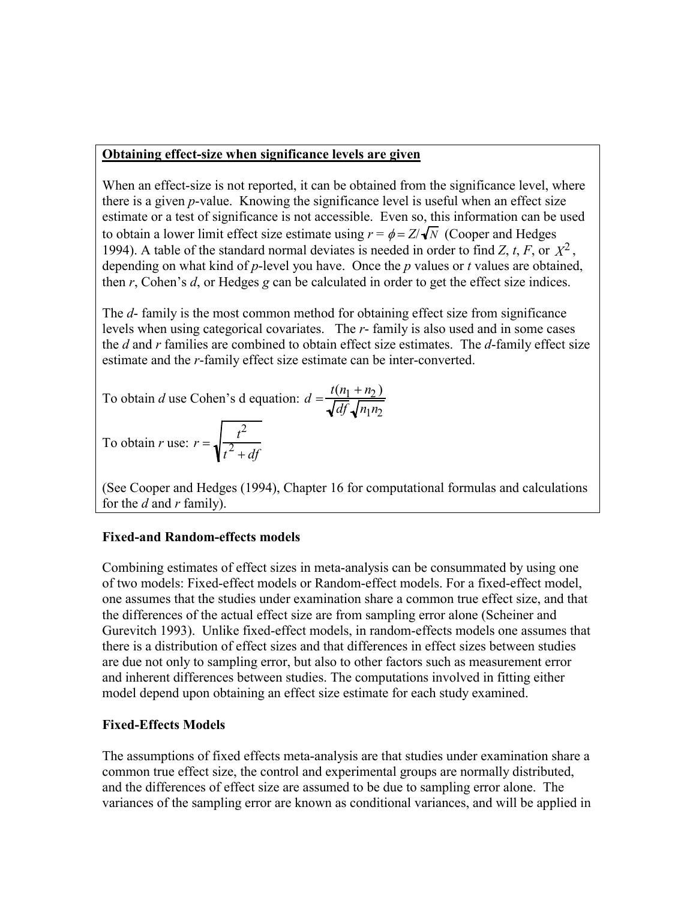### **Obtaining effect-size when significance levels are given**

When an effect-size is not reported, it can be obtained from the significance level, where there is a given *p*-value. Knowing the significance level is useful when an effect size estimate or a test of significance is not accessible. Even so, this information can be used to obtain a lower limit effect size estimate using  $r = \phi = Z/\sqrt{N}$  (Cooper and Hedges 1994). A table of the standard normal deviates is needed in order to find *Z*, *t*, *F*, or  $X^2$ . depending on what kind of *p*-level you have. Once the *p* values or *t* values are obtained, then *r*, Cohen's *d*, or Hedges *g* can be calculated in order to get the effect size indices.

The *d*- family is the most common method for obtaining effect size from significance levels when using categorical covariates. The *r*- family is also used and in some cases the *d* and *r* families are combined to obtain effect size estimates. The *d*-family effect size estimate and the *r*-family effect size estimate can be inter-converted.

To obtain *d* use Cohen's d equation: 
$$
d = \frac{t(n_1 + n_2)}{\sqrt{df} \sqrt{n_1 n_2}}
$$

To obtain *r* use:  $r = \sqrt{\frac{t^2}{2}}$  $t^2 + df$ 

(See Cooper and Hedges (1994), Chapter 16 for computational formulas and calculations for the *d* and *r* family).

## **Fixed-and Random-effects models**

Combining estimates of effect sizes in meta-analysis can be consummated by using one of two models: Fixed-effect models or Random-effect models. For a fixed-effect model, one assumes that the studies under examination share a common true effect size, and that the differences of the actual effect size are from sampling error alone (Scheiner and Gurevitch 1993). Unlike fixed-effect models, in random-effects models one assumes that there is a distribution of effect sizes and that differences in effect sizes between studies are due not only to sampling error, but also to other factors such as measurement error and inherent differences between studies. The computations involved in fitting either model depend upon obtaining an effect size estimate for each study examined.

# **Fixed-Effects Models**

The assumptions of fixed effects meta-analysis are that studies under examination share a common true effect size, the control and experimental groups are normally distributed, and the differences of effect size are assumed to be due to sampling error alone. The variances of the sampling error are known as conditional variances, and will be applied in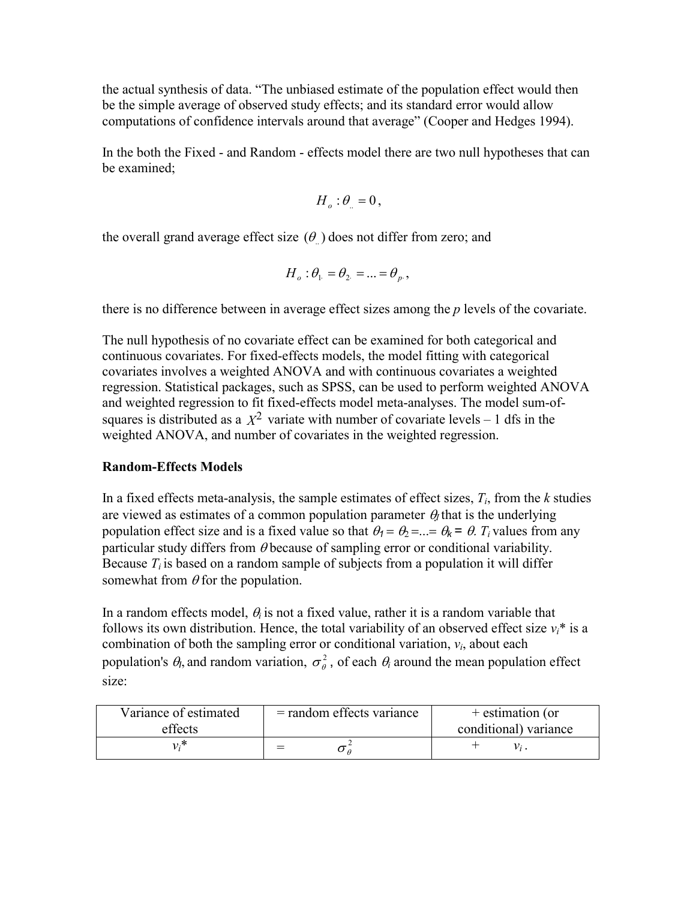the actual synthesis of data. "The unbiased estimate of the population effect would then be the simple average of observed study effects; and its standard error would allow computations of confidence intervals around that average" (Cooper and Hedges 1994).

In the both the Fixed - and Random - effects model there are two null hypotheses that can be examined;

$$
H_o: \theta_{\cdot} = 0,
$$

the overall grand average effect size  $(\theta)$  does not differ from zero; and

$$
H_o: \theta_1 = \theta_2 = \dots = \theta_p,
$$

there is no difference between in average effect sizes among the *p* levels of the covariate.

The null hypothesis of no covariate effect can be examined for both categorical and continuous covariates. For fixed-effects models, the model fitting with categorical covariates involves a weighted ANOVA and with continuous covariates a weighted regression. Statistical packages, such as SPSS, can be used to perform weighted ANOVA and weighted regression to fit fixed-effects model meta-analyses. The model sum-ofsquares is distributed as a  $X^2$  variate with number of covariate levels – 1 dfs in the weighted ANOVA, and number of covariates in the weighted regression.

### **Random-Effects Models**

In a fixed effects meta-analysis, the sample estimates of effect sizes,  $T_i$ , from the  $k$  studies are viewed as estimates of a common population parameter  $\theta_l$  that is the underlying population effect size and is a fixed value so that  $\theta_1 = \theta_2 = ... = \theta_k = \theta$ . T<sub>i</sub> values from any particular study differs from  $\theta$  because of sampling error or conditional variability. Because  $T_i$  is based on a random sample of subjects from a population it will differ somewhat from  $\theta$  for the population.

In a random effects model,  $\theta_i$  is not a fixed value, rather it is a random variable that follows its own distribution. Hence, the total variability of an observed effect size  $v_i^*$  is a combination of both the sampling error or conditional variation,  $v_i$ , about each population's  $\theta_l$ , and random variation,  $\sigma_\theta^2$ , of each  $\theta_i$  around the mean population effect size:

| Variance of estimated | $=$ random effects variance | + estimation (or      |
|-----------------------|-----------------------------|-----------------------|
| effects               |                             | conditional) variance |
|                       |                             |                       |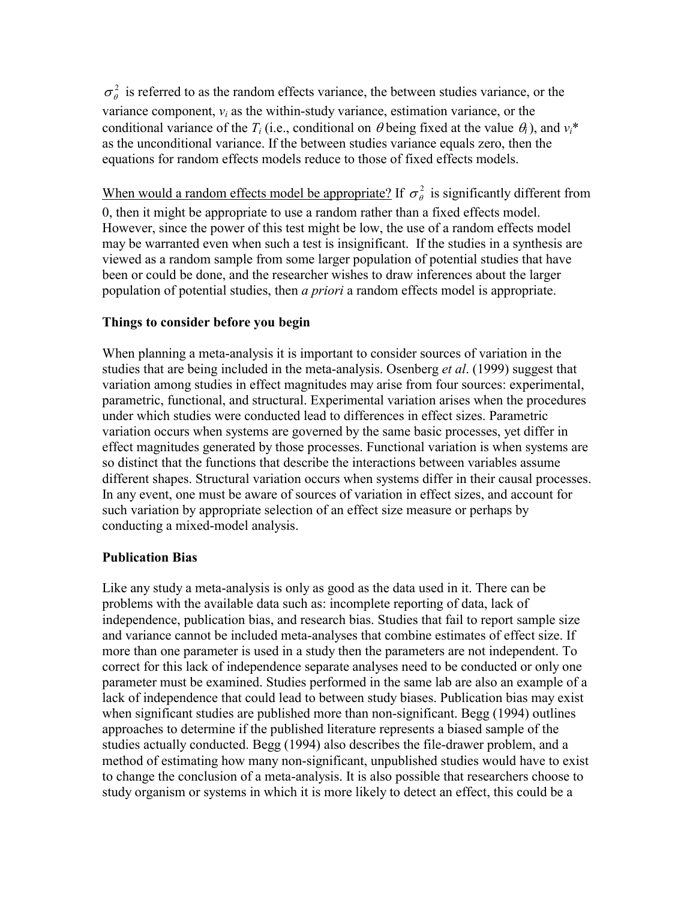$\sigma_{\theta}^2$  is referred to as the random effects variance, the between studies variance, or the variance component,  $v_i$  as the within-study variance, estimation variance, or the conditional variance of the  $T_i$  (i.e., conditional on  $\theta$  being fixed at the value  $\theta_i$ ), and  $v_i^*$ as the unconditional variance. If the between studies variance equals zero, then the equations for random effects models reduce to those of fixed effects models.

When would a random effects model be appropriate? If  $\sigma_{\theta}^2$  is significantly different from 0, then it might be appropriate to use a random rather than a fixed effects model. However, since the power of this test might be low, the use of a random effects model may be warranted even when such a test is insignificant. If the studies in a synthesis are viewed as a random sample from some larger population of potential studies that have been or could be done, and the researcher wishes to draw inferences about the larger population of potential studies, then *a priori* a random effects model is appropriate.

### **Things to consider before you begin**

When planning a meta-analysis it is important to consider sources of variation in the studies that are being included in the meta-analysis. Osenberg *et al*. (1999) suggest that variation among studies in effect magnitudes may arise from four sources: experimental, parametric, functional, and structural. Experimental variation arises when the procedures under which studies were conducted lead to differences in effect sizes. Parametric variation occurs when systems are governed by the same basic processes, yet differ in effect magnitudes generated by those processes. Functional variation is when systems are so distinct that the functions that describe the interactions between variables assume different shapes. Structural variation occurs when systems differ in their causal processes. In any event, one must be aware of sources of variation in effect sizes, and account for such variation by appropriate selection of an effect size measure or perhaps by conducting a mixed-model analysis.

### **Publication Bias**

Like any study a meta-analysis is only as good as the data used in it. There can be problems with the available data such as: incomplete reporting of data, lack of independence, publication bias, and research bias. Studies that fail to report sample size and variance cannot be included meta-analyses that combine estimates of effect size. If more than one parameter is used in a study then the parameters are not independent. To correct for this lack of independence separate analyses need to be conducted or only one parameter must be examined. Studies performed in the same lab are also an example of a lack of independence that could lead to between study biases. Publication bias may exist when significant studies are published more than non-significant. Begg (1994) outlines approaches to determine if the published literature represents a biased sample of the studies actually conducted. Begg (1994) also describes the file-drawer problem, and a method of estimating how many non-significant, unpublished studies would have to exist to change the conclusion of a meta-analysis. It is also possible that researchers choose to study organism or systems in which it is more likely to detect an effect, this could be a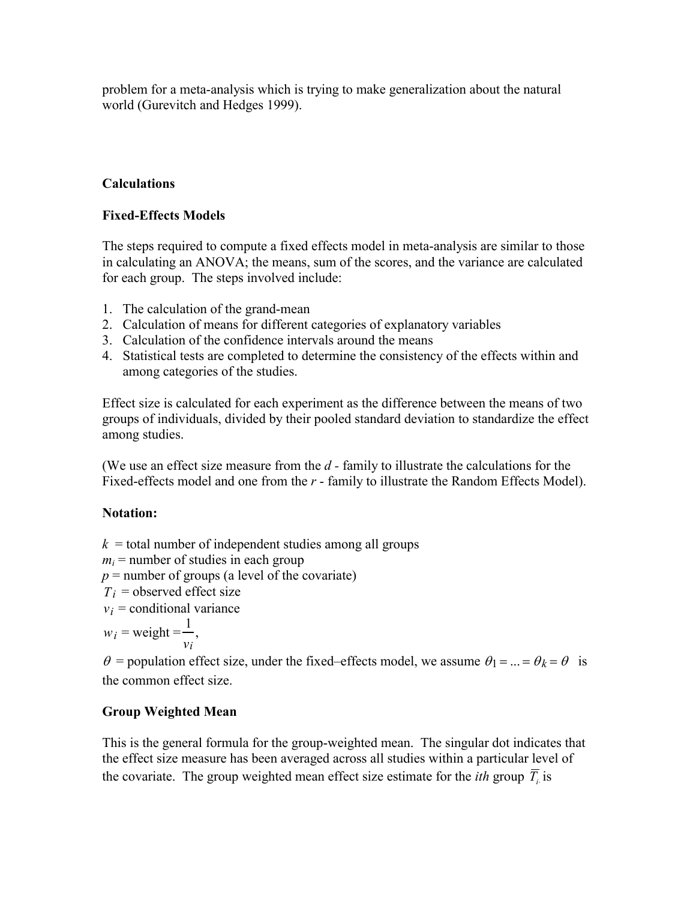problem for a meta-analysis which is trying to make generalization about the natural world (Gurevitch and Hedges 1999).

# **Calculations**

# **Fixed-Effects Models**

The steps required to compute a fixed effects model in meta-analysis are similar to those in calculating an ANOVA; the means, sum of the scores, and the variance are calculated for each group. The steps involved include:

- 1. The calculation of the grand-mean
- 2. Calculation of means for different categories of explanatory variables
- 3. Calculation of the confidence intervals around the means
- 4. Statistical tests are completed to determine the consistency of the effects within and among categories of the studies.

Effect size is calculated for each experiment as the difference between the means of two groups of individuals, divided by their pooled standard deviation to standardize the effect among studies.

(We use an effect size measure from the *d -* family to illustrate the calculations for the Fixed-effects model and one from the *r* - family to illustrate the Random Effects Model).

# **Notation:**

 $k =$  total number of independent studies among all groups

- $m<sub>i</sub>$  = number of studies in each group
- $p =$  number of groups (a level of the covariate)
- $T_i$  = observed effect size
- $v_i$  = conditional variance

 $w_i$  = weight = 1 *vi* ,

 $\theta$  = population effect size, under the fixed–effects model, we assume  $\theta_1 = ... = \theta_k = \theta$  is the common effect size.

# **Group Weighted Mean**

This is the general formula for the group-weighted mean. The singular dot indicates that the effect size measure has been averaged across all studies within a particular level of the covariate. The group weighted mean effect size estimate for the *ith* group  $\overline{T}$  is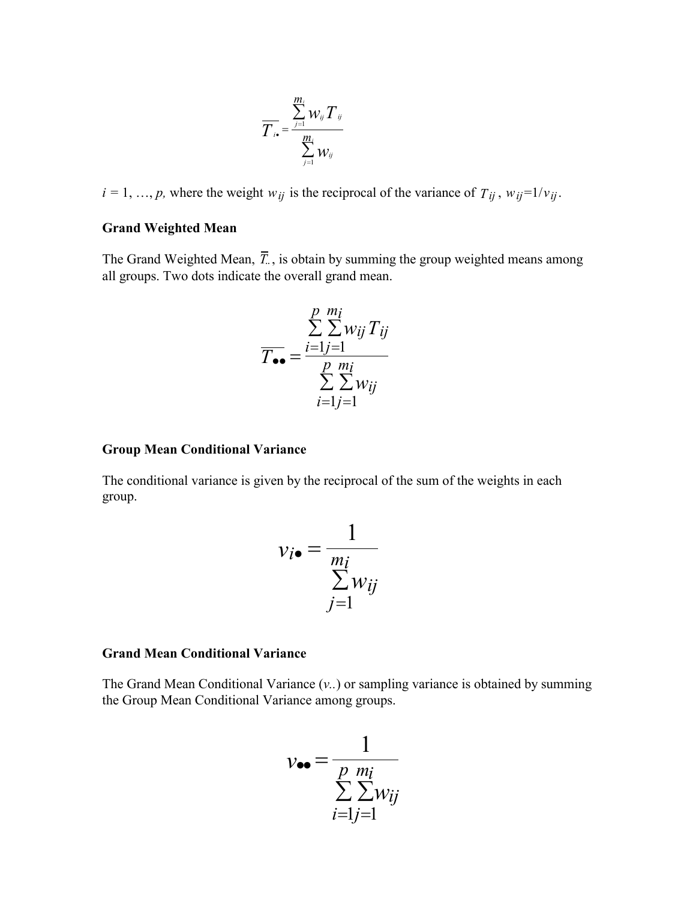$$
\overline{T}_{i\bullet} = \frac{\sum\limits_{j=1}^{m_i} \mathcal{W}_{ij} \, \overline{T}_{ij}}{\sum\limits_{j=1}^{m_i} \mathcal{W}_{ij}}
$$

 $i = 1, \ldots, p$ , where the weight  $w_{ij}$  is the reciprocal of the variance of  $T_{ij}$ ,  $w_{ij} = 1/v_{ij}$ .

### **Grand Weighted Mean**

The Grand Weighted Mean,  $\overline{T}$ , is obtain by summing the group weighted means among all groups. Two dots indicate the overall grand mean.

$$
\overline{T_{\bullet \bullet}} = \frac{\sum\limits_{i=1}^{p} \sum\limits_{j=1}^{m_i} w_{ij} T_{ij}}{\sum\limits_{i=1}^{p} \sum\limits_{j=1}^{m_i} w_{ij}}
$$

#### **Group Mean Conditional Variance**

The conditional variance is given by the reciprocal of the sum of the weights in each group.

$$
v_{i\bullet} = \frac{1}{\sum_{j=1}^{m_i} w_{ij}}
$$

### **Grand Mean Conditional Variance**

The Grand Mean Conditional Variance (*v..*) or sampling variance is obtained by summing the Group Mean Conditional Variance among groups.

$$
v_{\bullet\bullet} = \frac{1}{\sum_{i=1}^{p} \sum_{j=1}^{m_i} w_{ij}}
$$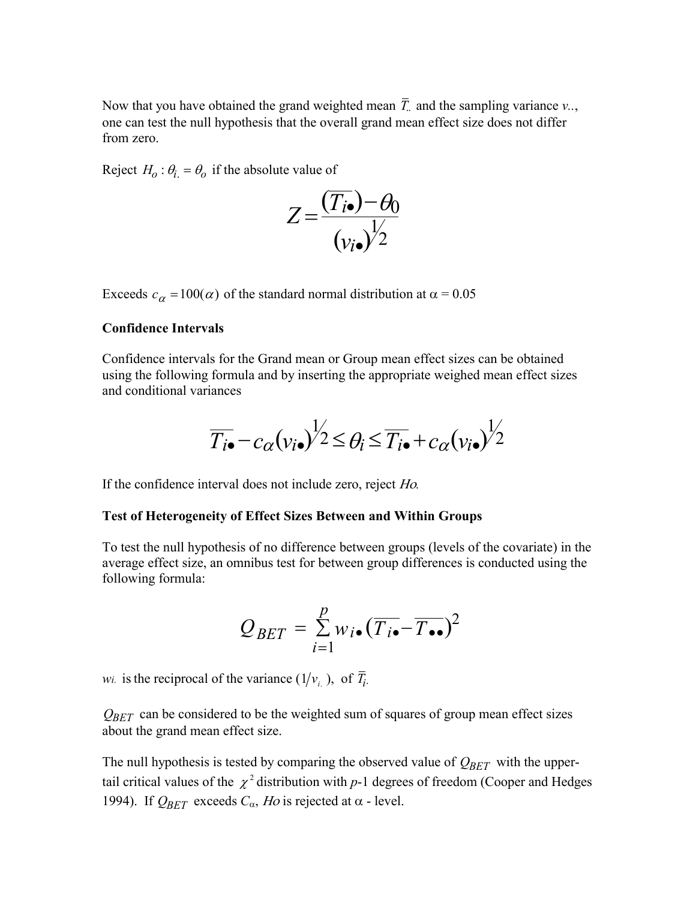Now that you have obtained the grand weighted mean  $\overline{T}$  and the sampling variance  $v_{\cdot\cdot}$ , one can test the null hypothesis that the overall grand mean effect size does not differ from zero.

Reject  $H_0: \theta_i = \theta_0$  if the absolute value of

$$
Z = \frac{(\overline{T_{i\bullet}}) - \theta_0}{(\nu_{i\bullet})^{\frac{1}{2}}}
$$

Exceeds  $c_{\alpha} = 100(\alpha)$  of the standard normal distribution at  $\alpha = 0.05$ 

#### **Confidence Intervals**

Confidence intervals for the Grand mean or Group mean effect sizes can be obtained using the following formula and by inserting the appropriate weighed mean effect sizes and conditional variances

$$
\overline{T_{i\bullet}} - c_{\alpha}(v_{i\bullet})^{\frac{1}{2}} \leq \theta_i \leq \overline{T_{i\bullet}} + c_{\alpha}(v_{i\bullet})^{\frac{1}{2}}
$$

If the confidence interval does not include zero, reject *Ho*.

#### **Test of Heterogeneity of Effect Sizes Between and Within Groups**

To test the null hypothesis of no difference between groups (levels of the covariate) in the average effect size, an omnibus test for between group differences is conducted using the following formula:

$$
Q_{BET} = \sum_{i=1}^{p} w_{i} \cdot (\overline{T_{i} \cdot - T_{\bullet \bullet}})^2
$$

*wi.* is the reciprocal of the variance  $(1/v_i)$ , of  $\overline{T_i}$ .

*QBET* can be considered to be the weighted sum of squares of group mean effect sizes about the grand mean effect size.

The null hypothesis is tested by comparing the observed value of  $Q_{BET}$  with the uppertail critical values of the  $\chi^2$  distribution with *p*-1 degrees of freedom (Cooper and Hedges 1994). If  $Q_{BET}$  exceeds  $C_{\alpha}$ , *Ho* is rejected at  $\alpha$  - level.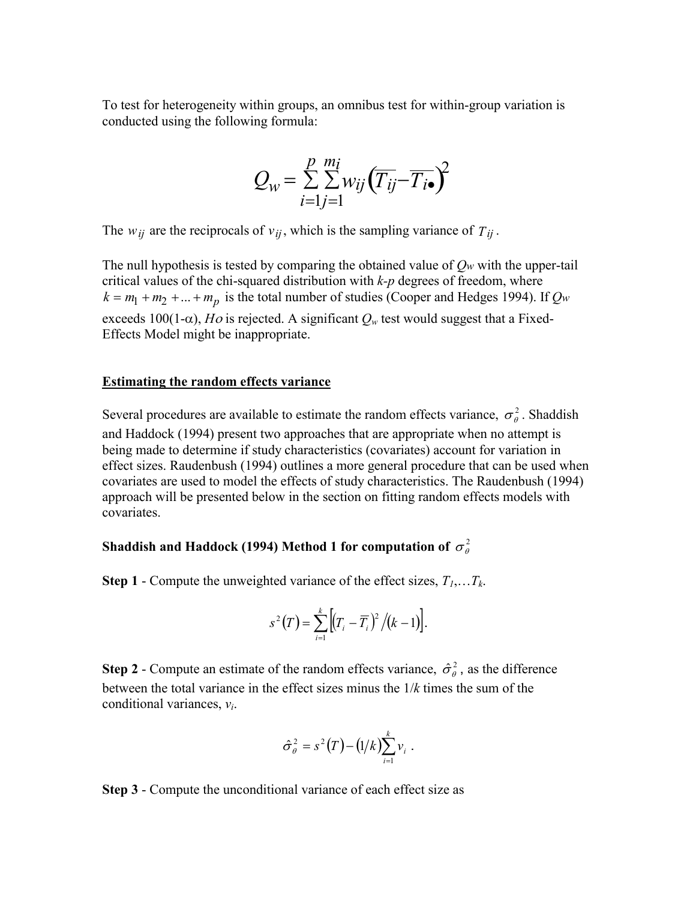To test for heterogeneity within groups, an omnibus test for within-group variation is conducted using the following formula:

$$
Q_w = \sum_{i=1}^{p} \sum_{j=1}^{m_i} w_{ij} (\overline{T_{ij}} - \overline{T_{i\bullet}})^2
$$

The  $w_{ij}$  are the reciprocals of  $v_{ij}$ , which is the sampling variance of  $T_{ij}$ .

The null hypothesis is tested by comparing the obtained value of *Qw* with the upper-tail critical values of the chi-squared distribution with *k-p* degrees of freedom, where  $k = m_1 + m_2 + ... + m_p$  is the total number of studies (Cooper and Hedges 1994). If  $Q_w$ exceeds 100(1- $\alpha$ ), *Ho* is rejected. A significant  $Q_w$  test would suggest that a Fixed-Effects Model might be inappropriate.

#### **Estimating the random effects variance**

Several procedures are available to estimate the random effects variance,  $\sigma_{\theta}^2$ . Shaddish and Haddock (1994) present two approaches that are appropriate when no attempt is being made to determine if study characteristics (covariates) account for variation in effect sizes. Raudenbush (1994) outlines a more general procedure that can be used when covariates are used to model the effects of study characteristics. The Raudenbush (1994) approach will be presented below in the section on fitting random effects models with covariates.

# Shaddish and Haddock (1994) Method 1 for computation of  $\sigma_{\theta}^2$

**Step 1** - Compute the unweighted variance of the effect sizes,  $T_1, \ldots, T_k$ .

$$
s^{2}(T) = \sum_{i=1}^{k} \left[ (T_{i} - \overline{T}_{i})^{2} / (k - 1) \right].
$$

**Step 2** - Compute an estimate of the random effects variance,  $\hat{\sigma}_{\theta}^2$ , as the difference between the total variance in the effect sizes minus the 1/*k* times the sum of the conditional variances, *v i*.

$$
\hat{\sigma}_{\theta}^2 = s^2(T) - (1/k) \sum_{i=1}^k v_i.
$$

**Step 3** - Compute the unconditional variance of each effect size as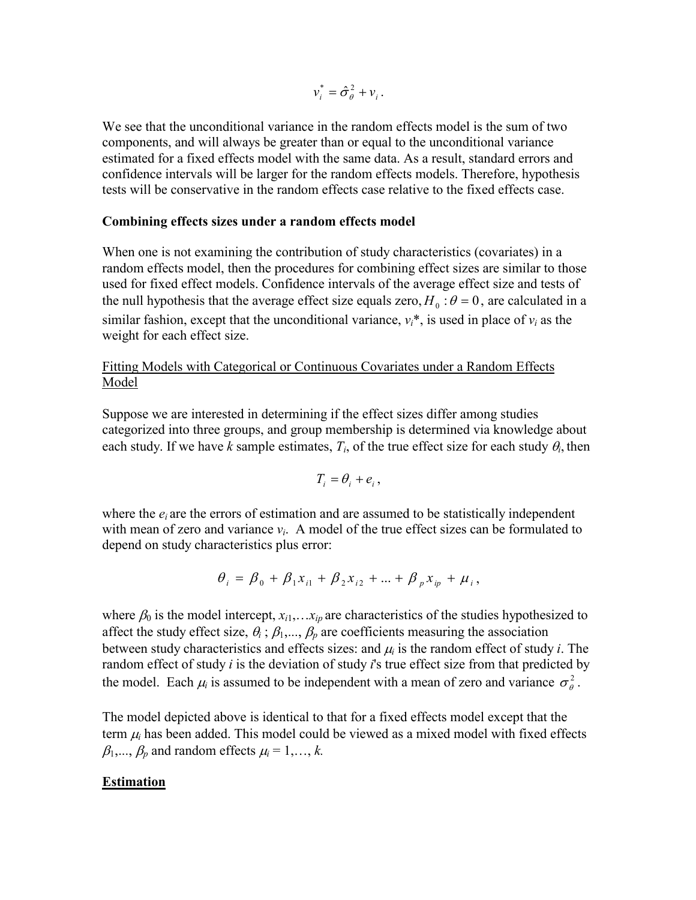$v_i^* = \hat{\sigma}_{\theta}^2 + v_i$ .

We see that the unconditional variance in the random effects model is the sum of two components, and will always be greater than or equal to the unconditional variance estimated for a fixed effects model with the same data. As a result, standard errors and confidence intervals will be larger for the random effects models. Therefore, hypothesis tests will be conservative in the random effects case relative to the fixed effects case.

### **Combining effects sizes under a random effects model**

When one is not examining the contribution of study characteristics (covariates) in a random effects model, then the procedures for combining effect sizes are similar to those used for fixed effect models. Confidence intervals of the average effect size and tests of the null hypothesis that the average effect size equals zero,  $H_0$ :  $\theta = 0$ , are calculated in a similar fashion, except that the unconditional variance,  $v_i^*$ , is used in place of  $v_i$  as the weight for each effect size.

### Fitting Models with Categorical or Continuous Covariates under a Random Effects Model

Suppose we are interested in determining if the effect sizes differ among studies categorized into three groups, and group membership is determined via knowledge about each study. If we have *k* sample estimates,  $T_i$ , of the true effect size for each study  $\theta_i$ , then

$$
T_i = \theta_i + e_i,
$$

where the  $e_i$  are the errors of estimation and are assumed to be statistically independent with mean of zero and variance  $v_i$ . A model of the true effect sizes can be formulated to depend on study characteristics plus error:

$$
\theta_i = \beta_0 + \beta_1 x_{i1} + \beta_2 x_{i2} + ... + \beta_p x_{ip} + \mu_i,
$$

where  $\beta_0$  is the model intercept,  $x_{i1}, \ldots, x_{ip}$  are characteristics of the studies hypothesized to affect the study effect size,  $\theta_i$ ;  $\beta_1$ ,...,  $\beta_p$  are coefficients measuring the association between study characteristics and effects sizes: and  $\mu_i$  is the random effect of study *i*. The random effect of study *i* is the deviation of study *i*'s true effect size from that predicted by the model. Each  $\mu_i$  is assumed to be independent with a mean of zero and variance  $\sigma_{\theta}^2$ .

The model depicted above is identical to that for a fixed effects model except that the term  $\mu_i$  has been added. This model could be viewed as a mixed model with fixed effects  $\beta_1, ..., \beta_p$  and random effects  $\mu_i = 1, ..., k$ .

## **Estimation**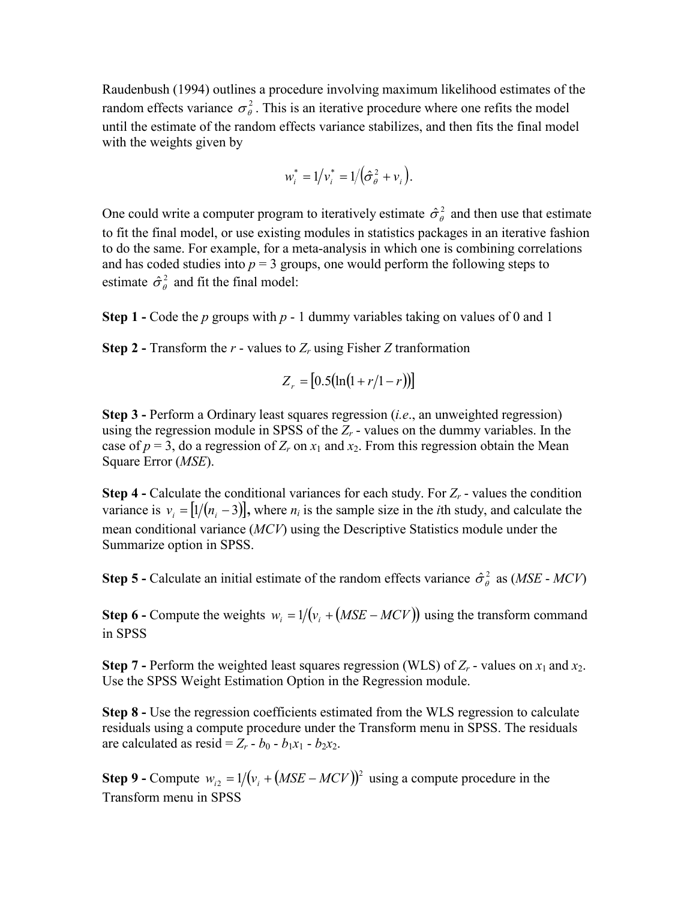Raudenbush (1994) outlines a procedure involving maximum likelihood estimates of the random effects variance  $\sigma_{\theta}^2$ . This is an iterative procedure where one refits the model until the estimate of the random effects variance stabilizes, and then fits the final model with the weights given by

$$
w_i^* = 1/v_i^* = 1/(\hat{\sigma}_{\theta}^2 + v_i).
$$

One could write a computer program to iteratively estimate  $\hat{\sigma}_{\theta}^2$  and then use that estimate to fit the final model, or use existing modules in statistics packages in an iterative fashion to do the same. For example, for a meta-analysis in which one is combining correlations and has coded studies into  $p = 3$  groups, one would perform the following steps to estimate  $\hat{\sigma}_{\theta}^2$  and fit the final model:

**Step 1 -** Code the *p* groups with *p* - 1 dummy variables taking on values of 0 and 1

**Step 2 - Transform the**  $r$  **- values to**  $Z_r$  **using Fisher** *Z* **tranformation** 

$$
Z_r = [0.5(\ln(1 + r/1 - r))]
$$

**Step 3 -** Perform a Ordinary least squares regression (*i.e*., an unweighted regression) using the regression module in SPSS of the  $Z_r$  - values on the dummy variables. In the case of  $p = 3$ , do a regression of  $Z_r$  on  $x_1$  and  $x_2$ . From this regression obtain the Mean Square Error (*MSE*).

**Step 4 -** Calculate the conditional variances for each study. For  $Z_r$  - values the condition variance is  $v_i = [1/(n_i - 3)]$ , where  $n_i$  is the sample size in the *i*th study, and calculate the mean conditional variance (*MCV*) using the Descriptive Statistics module under the Summarize option in SPSS.

**Step 5 -** Calculate an initial estimate of the random effects variance  $\hat{\sigma}_{\theta}^2$  as (*MSE* - *MCV*)

**Step 6 -** Compute the weights  $w_i = 1/(v_i + (MSE - MCV))$  using the transform command in SPSS

**Step 7 - Perform the weighted least squares regression (WLS) of**  $Z_r$  **- values on**  $x_1$  **and**  $x_2$ **.** Use the SPSS Weight Estimation Option in the Regression module.

**Step 8 -** Use the regression coefficients estimated from the WLS regression to calculate residuals using a compute procedure under the Transform menu in SPSS. The residuals are calculated as resid =  $Z_r - b_0 - b_1x_1 - b_2x_2$ .

**Step 9 -** Compute  $w_{i2} = 1/(v_i + (MSE - MCV))^2$  using a compute procedure in the Transform menu in SPSS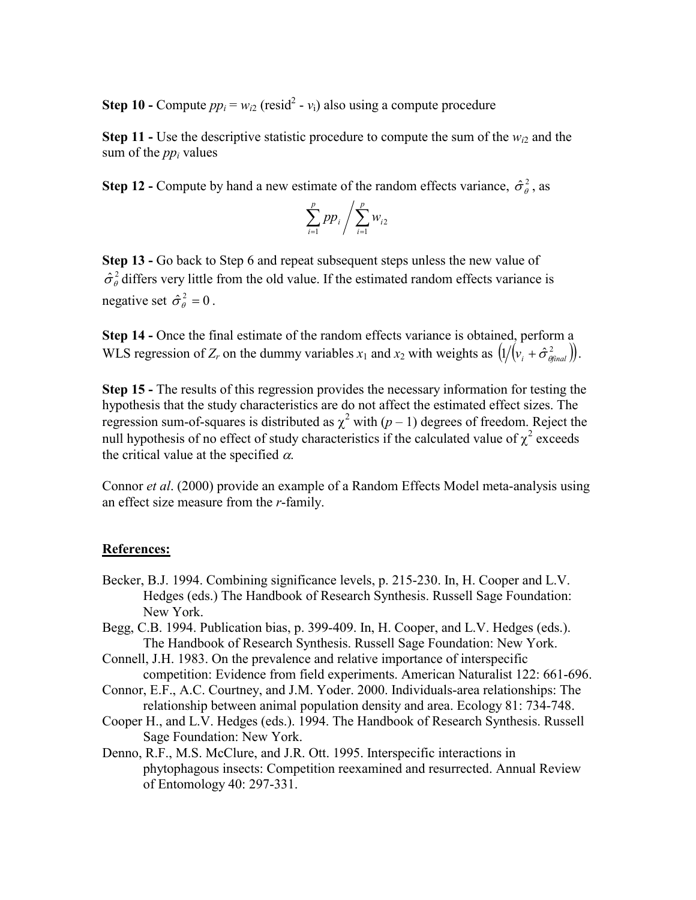**Step 10 -** Compute  $pp_i = w_{i2}$  (resid<sup>2</sup> -  $v_i$ ) also using a compute procedure

**Step 11** - Use the descriptive statistic procedure to compute the sum of the  $w_{i2}$  and the sum of the *ppi* values

**Step 12 -** Compute by hand a new estimate of the random effects variance,  $\hat{\sigma}_{\theta}^2$ , as

$$
\sum_{i=1}^p p p_i / \sum_{i=1}^p w_{i2}
$$

**Step 13 -** Go back to Step 6 and repeat subsequent steps unless the new value of  $\hat{\sigma}_{\theta}^2$  differs very little from the old value. If the estimated random effects variance is negative set  $\hat{\sigma}_{\theta}^2 = 0$ .

**Step 14 -** Once the final estimate of the random effects variance is obtained, perform a WLS regression of *Z<sub>r</sub>* on the dummy variables  $x_1$  and  $x_2$  with weights as  $(1/(v_i + \hat{\sigma}_{\theta_{final}}^2))$ .

**Step 15 -** The results of this regression provides the necessary information for testing the hypothesis that the study characteristics are do not affect the estimated effect sizes. The regression sum-of-squares is distributed as  $\chi^2$  with  $(p-1)$  degrees of freedom. Reject the null hypothesis of no effect of study characteristics if the calculated value of  $\chi^2$  exceeds the critical value at the specified  $\alpha$ .

Connor *et al*. (2000) provide an example of a Random Effects Model meta-analysis using an effect size measure from the *r*-family.

### **References:**

- Becker, B.J. 1994. Combining significance levels, p. 215-230. In, H. Cooper and L.V. Hedges (eds.) The Handbook of Research Synthesis. Russell Sage Foundation: New York.
- Begg, C.B. 1994. Publication bias, p. 399-409. In, H. Cooper, and L.V. Hedges (eds.). The Handbook of Research Synthesis. Russell Sage Foundation: New York.
- Connell, J.H. 1983. On the prevalence and relative importance of interspecific competition: Evidence from field experiments. American Naturalist 122: 661-696.
- Connor, E.F., A.C. Courtney, and J.M. Yoder. 2000. Individuals-area relationships: The relationship between animal population density and area. Ecology 81: 734-748.
- Cooper H., and L.V. Hedges (eds.). 1994. The Handbook of Research Synthesis. Russell Sage Foundation: New York.
- Denno, R.F., M.S. McClure, and J.R. Ott. 1995. Interspecific interactions in phytophagous insects: Competition reexamined and resurrected. Annual Review of Entomology 40: 297-331.